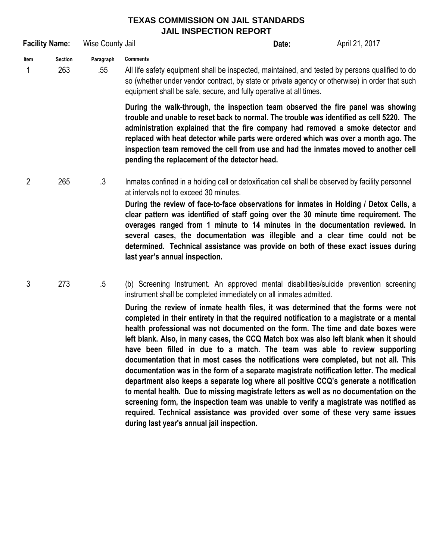## **TEXAS COMMISSION ON JAIL STANDARDS JAIL INSPECTION REPORT**

|                | <b>Facility Name:</b> | Wise County Jail |                                                                                                                                                                                                                                                                                                                                                                                                                                                                                                 | Date:                                                                                                                                                                                                                                                                                                                                                                                                                                                                                                                                     | April 21, 2017 |
|----------------|-----------------------|------------------|-------------------------------------------------------------------------------------------------------------------------------------------------------------------------------------------------------------------------------------------------------------------------------------------------------------------------------------------------------------------------------------------------------------------------------------------------------------------------------------------------|-------------------------------------------------------------------------------------------------------------------------------------------------------------------------------------------------------------------------------------------------------------------------------------------------------------------------------------------------------------------------------------------------------------------------------------------------------------------------------------------------------------------------------------------|----------------|
| Item<br>1      | <b>Section</b><br>263 | Paragraph<br>.55 | <b>Comments</b><br>All life safety equipment shall be inspected, maintained, and tested by persons qualified to do<br>so (whether under vendor contract, by state or private agency or otherwise) in order that such<br>equipment shall be safe, secure, and fully operative at all times.                                                                                                                                                                                                      |                                                                                                                                                                                                                                                                                                                                                                                                                                                                                                                                           |                |
|                |                       |                  | During the walk-through, the inspection team observed the fire panel was showing<br>trouble and unable to reset back to normal. The trouble was identified as cell 5220. The<br>administration explained that the fire company had removed a smoke detector and<br>replaced with heat detector while parts were ordered which was over a month ago. The<br>inspection team removed the cell from use and had the inmates moved to another cell<br>pending the replacement of the detector head. |                                                                                                                                                                                                                                                                                                                                                                                                                                                                                                                                           |                |
| $\overline{2}$ | 265                   | $\cdot$ 3        | at intervals not to exceed 30 minutes.<br>last year's annual inspection.                                                                                                                                                                                                                                                                                                                                                                                                                        | Inmates confined in a holding cell or detoxification cell shall be observed by facility personnel<br>During the review of face-to-face observations for inmates in Holding / Detox Cells, a<br>clear pattern was identified of staff going over the 30 minute time requirement. The<br>overages ranged from 1 minute to 14 minutes in the documentation reviewed. In<br>several cases, the documentation was illegible and a clear time could not be<br>determined. Technical assistance was provide on both of these exact issues during |                |
| 3              | 273                   | $.5\,$           | (b) Screening Instrument. An approved mental disabilities/suicide prevention screening<br>instrument shall be completed immediately on all inmates admitted.                                                                                                                                                                                                                                                                                                                                    |                                                                                                                                                                                                                                                                                                                                                                                                                                                                                                                                           |                |

**During the review of inmate health files, it was determined that the forms were not completed in their entirety in that the required notification to a magistrate or a mental health professional was not documented on the form. The time and date boxes were left blank. Also, in many cases, the CCQ Match box was also left blank when it should have been filled in due to a match. The team was able to review supporting documentation that in most cases the notifications were completed, but not all. This documentation was in the form of a separate magistrate notification letter. The medical department also keeps a separate log where all positive CCQ's generate a notification to mental health. Due to missing magistrate letters as well as no documentation on the screening form, the inspection team was unable to verify a magistrate was notified as required. Technical assistance was provided over some of these very same issues during last year's annual jail inspection.**